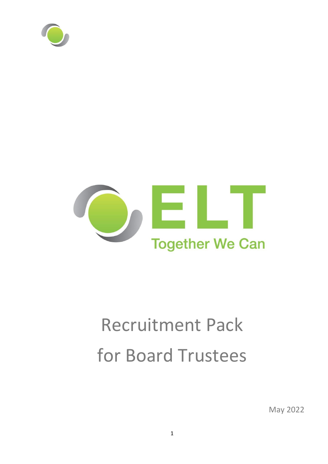



# Recruitment Pack for Board Trustees

May 2022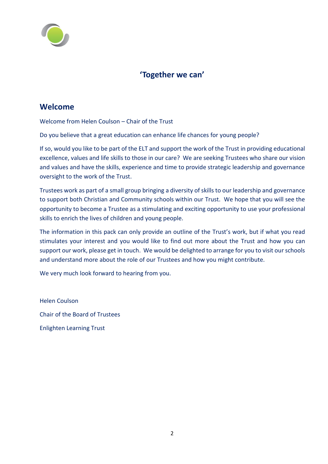

# **'Together we can'**

## **Welcome**

Welcome from Helen Coulson – Chair of the Trust

Do you believe that a great education can enhance life chances for young people?

If so, would you like to be part of the ELT and support the work of the Trust in providing educational excellence, values and life skills to those in our care? We are seeking Trustees who share our vision and values and have the skills, experience and time to provide strategic leadership and governance oversight to the work of the Trust.

Trustees work as part of a small group bringing a diversity of skills to our leadership and governance to support both Christian and Community schools within our Trust. We hope that you will see the opportunity to become a Trustee as a stimulating and exciting opportunity to use your professional skills to enrich the lives of children and young people.

The information in this pack can only provide an outline of the Trust's work, but if what you read stimulates your interest and you would like to find out more about the Trust and how you can support our work, please get in touch. We would be delighted to arrange for you to visit our schools and understand more about the role of our Trustees and how you might contribute.

We very much look forward to hearing from you.

Helen Coulson Chair of the Board of Trustees Enlighten Learning Trust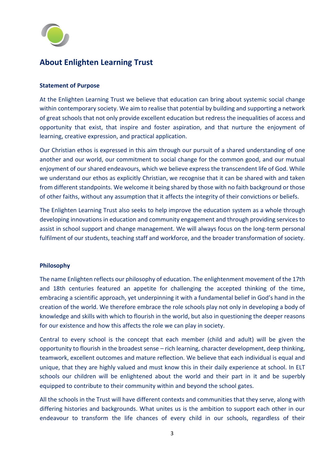

# **About Enlighten Learning Trust**

## **Statement of Purpose**

At the Enlighten Learning Trust we believe that education can bring about systemic social change within contemporary society. We aim to realise that potential by building and supporting a network of great schools that not only provide excellent education but redress the inequalities of access and opportunity that exist, that inspire and foster aspiration, and that nurture the enjoyment of learning, creative expression, and practical application.

Our Christian ethos is expressed in this aim through our pursuit of a shared understanding of one another and our world, our commitment to social change for the common good, and our mutual enjoyment of our shared endeavours, which we believe express the transcendent life of God. While we understand our ethos as explicitly Christian, we recognise that it can be shared with and taken from different standpoints. We welcome it being shared by those with no faith background or those of other faiths, without any assumption that it affects the integrity of their convictions or beliefs.

The Enlighten Learning Trust also seeks to help improve the education system as a whole through developing innovations in education and community engagement and through providing services to assist in school support and change management. We will always focus on the long-term personal fulfilment of our students, teaching staff and workforce, and the broader transformation of society.

## **Philosophy**

The name Enlighten reflects our philosophy of education. The enlightenment movement of the 17th and 18th centuries featured an appetite for challenging the accepted thinking of the time, embracing a scientific approach, yet underpinning it with a fundamental belief in God's hand in the creation of the world. We therefore embrace the role schools play not only in developing a body of knowledge and skills with which to flourish in the world, but also in questioning the deeper reasons for our existence and how this affects the role we can play in society.

Central to every school is the concept that each member (child and adult) will be given the opportunity to flourish in the broadest sense – rich learning, character development, deep thinking, teamwork, excellent outcomes and mature reflection. We believe that each individual is equal and unique, that they are highly valued and must know this in their daily experience at school. In ELT schools our children will be enlightened about the world and their part in it and be superbly equipped to contribute to their community within and beyond the school gates.

All the schools in the Trust will have different contexts and communities that they serve, along with differing histories and backgrounds. What unites us is the ambition to support each other in our endeavour to transform the life chances of every child in our schools, regardless of their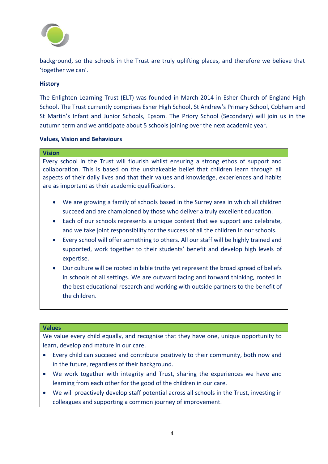

background, so the schools in the Trust are truly uplifting places, and therefore we believe that 'together we can'.

## **History**

The Enlighten Learning Trust (ELT) was founded in March 2014 in Esher Church of England High School. The Trust currently comprises Esher High School, St Andrew's Primary School, Cobham and St Martin's Infant and Junior Schools, Epsom. The Priory School (Secondary) will join us in the autumn term and we anticipate about 5 schools joining over the next academic year.

## **Values, Vision and Behaviours**

#### **Vision**

Every school in the Trust will flourish whilst ensuring a strong ethos of support and collaboration. This is based on the unshakeable belief that children learn through all aspects of their daily lives and that their values and knowledge, experiences and habits are as important as their academic qualifications.

- We are growing a family of schools based in the Surrey area in which all children succeed and are championed by those who deliver a truly excellent education.
- Each of our schools represents a unique context that we support and celebrate, and we take joint responsibility for the success of all the children in our schools.
- Every school will offer something to others. All our staff will be highly trained and supported, work together to their students' benefit and develop high levels of expertise.
- Our culture will be rooted in bible truths yet represent the broad spread of beliefs in schools of all settings. We are outward facing and forward thinking, rooted in the best educational research and working with outside partners to the benefit of the children.

## **Values**

We value every child equally, and recognise that they have one, unique opportunity to learn, develop and mature in our care.

- Every child can succeed and contribute positively to their community, both now and in the future, regardless of their background.
- We work together with integrity and Trust, sharing the experiences we have and learning from each other for the good of the children in our care.
- We will proactively develop staff potential across all schools in the Trust, investing in colleagues and supporting a common journey of improvement.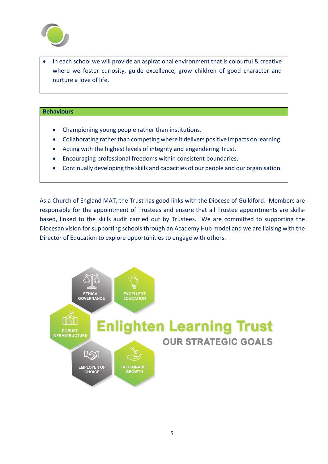

• In each school we will provide an aspirational environment that is colourful & creative where we foster curiosity, guide excellence, grow children of good character and nurture a love of life.

#### **Behaviours**

- Championing young people rather than institutions.
- Collaborating rather than competing where it delivers positive impacts on learning.
- Acting with the highest levels of integrity and engendering Trust.
- Encouraging professional freedoms within consistent boundaries.
- Continually developing the skills and capacities of our people and our organisation.

As a Church of England MAT, the Trust has good links with the Diocese of Guildford. Members are responsible for the appointment of Trustees and ensure that all Trustee appointments are skillsbased, linked to the skills audit carried out by Trustees. We are committed to supporting the Diocesan vision for supporting schools through an Academy Hub model and we are liaising with the Director of Education to explore opportunities to engage with others.

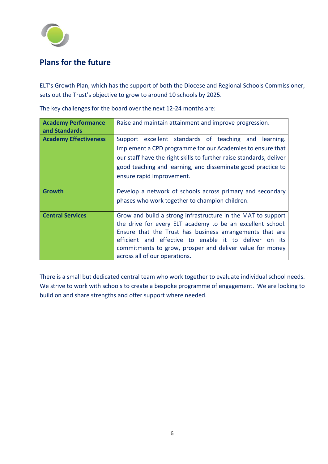

# **Plans for the future**

ELT's Growth Plan, which has the support of both the Diocese and Regional Schools Commissioner, sets out the Trust's objective to grow to around 10 schools by 2025.

The key challenges for the board over the next 12-24 months are:

| <b>Academy Performance</b><br>and Standards | Raise and maintain attainment and improve progression.                                                                                                                                                                                                                                                                                        |
|---------------------------------------------|-----------------------------------------------------------------------------------------------------------------------------------------------------------------------------------------------------------------------------------------------------------------------------------------------------------------------------------------------|
| <b>Academy Effectiveness</b>                | Support excellent standards of teaching and learning.<br>Implement a CPD programme for our Academies to ensure that<br>our staff have the right skills to further raise standards, deliver<br>good teaching and learning, and disseminate good practice to<br>ensure rapid improvement.                                                       |
| Growth                                      | Develop a network of schools across primary and secondary<br>phases who work together to champion children.                                                                                                                                                                                                                                   |
| <b>Central Services</b>                     | Grow and build a strong infrastructure in the MAT to support<br>the drive for every ELT academy to be an excellent school.<br>Ensure that the Trust has business arrangements that are<br>efficient and effective to enable it to deliver on its<br>commitments to grow, prosper and deliver value for money<br>across all of our operations. |

There is a small but dedicated central team who work together to evaluate individual school needs. We strive to work with schools to create a bespoke programme of engagement. We are looking to build on and share strengths and offer support where needed.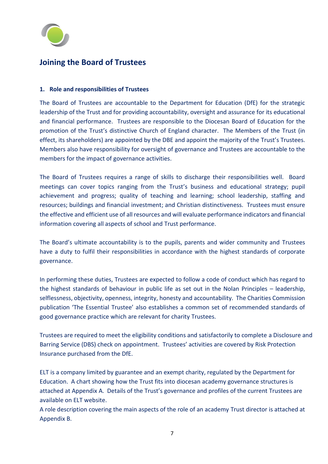

# **Joining the Board of Trustees**

## **1. Role and responsibilities of Trustees**

The Board of Trustees are accountable to the Department for Education (DfE) for the strategic leadership of the Trust and for providing accountability, oversight and assurance for its educational and financial performance. Trustees are responsible to the Diocesan Board of Education for the promotion of the Trust's distinctive Church of England character. The Members of the Trust (in effect, its shareholders) are appointed by the DBE and appoint the majority of the Trust's Trustees. Members also have responsibility for oversight of governance and Trustees are accountable to the members for the impact of governance activities.

The Board of Trustees requires a range of skills to discharge their responsibilities well. Board meetings can cover topics ranging from the Trust's business and educational strategy; pupil achievement and progress; quality of teaching and learning; school leadership, staffing and resources; buildings and financial investment; and Christian distinctiveness. Trustees must ensure the effective and efficient use of all resources and will evaluate performance indicators and financial information covering all aspects of school and Trust performance.

The Board's ultimate accountability is to the pupils, parents and wider community and Trustees have a duty to fulfil their responsibilities in accordance with the highest standards of corporate governance.

In performing these duties, Trustees are expected to follow a code of conduct which has regard to the highest standards of behaviour in public life as set out in the Nolan Principles – leadership, selflessness, objectivity, openness, integrity, honesty and accountability. The Charities Commission publication 'The Essential Trustee' also establishes a common set of recommended standards of good governance practice which are relevant for charity Trustees.

Trustees are required to meet the eligibility conditions and satisfactorily to complete a Disclosure and Barring Service (DBS) check on appointment. Trustees' activities are covered by Risk Protection Insurance purchased from the DfE.

ELT is a company limited by guarantee and an exempt charity, regulated by the Department for Education. A chart showing how the Trust fits into diocesan academy governance structures is attached at Appendix A. Details of the Trust's governance and profiles of the current Trustees are available on ELT website.

A role description covering the main aspects of the role of an academy Trust director is attached at Appendix B.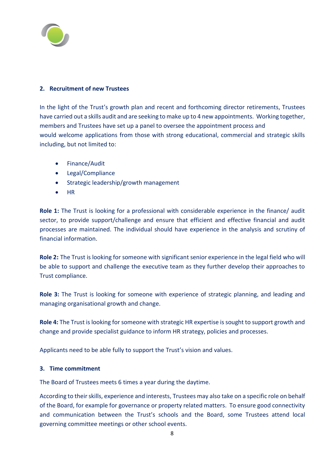

## **2. Recruitment of new Trustees**

In the light of the Trust's growth plan and recent and forthcoming director retirements, Trustees have carried out a skills audit and are seeking to make up to 4 new appointments. Working together, members and Trustees have set up a panel to oversee the appointment process and would welcome applications from those with strong educational, commercial and strategic skills including, but not limited to:

- Finance/Audit
- Legal/Compliance
- Strategic leadership/growth management
- HR

**Role 1:** The Trust is looking for a professional with considerable experience in the finance/ audit sector, to provide support/challenge and ensure that efficient and effective financial and audit processes are maintained. The individual should have experience in the analysis and scrutiny of financial information.

**Role 2:** The Trust is looking for someone with significant senior experience in the legal field who will be able to support and challenge the executive team as they further develop their approaches to Trust compliance.

**Role 3:** The Trust is looking for someone with experience of strategic planning, and leading and managing organisational growth and change.

**Role 4:** The Trust is looking for someone with strategic HR expertise is sought to support growth and change and provide specialist guidance to inform HR strategy, policies and processes.

Applicants need to be able fully to support the Trust's vision and values.

## **3. Time commitment**

The Board of Trustees meets 6 times a year during the daytime.

According to their skills, experience and interests, Trustees may also take on a specific role on behalf of the Board, for example for governance or property related matters. To ensure good connectivity and communication between the Trust's schools and the Board, some Trustees attend local governing committee meetings or other school events.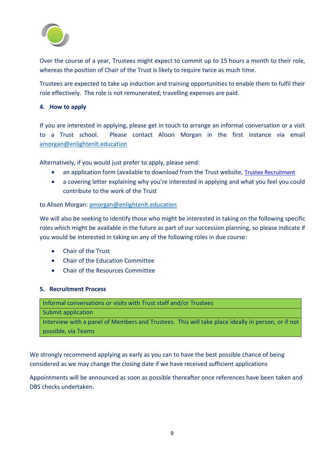

Over the course of a year, Trustees might expect to commit up to 15 hours a month to their role, whereas the position of Chair of the Trust is likely to require twice as much time.

Trustees are expected to take up induction and training opportunities to enable them to fulfil their role effectively. The role is not remunerated; travelling expenses are paid.

## **4. How to apply**

If you are interested in applying, please get in touch to arrange an informal conversation or a visit to a Trust school. Please contact Alison Morgan in the first instance via email [amorgan@enlightenlt.education](mailto:amorgan@enlightenlt.education)

Alternatively, if you would just prefer to apply, please send:

- an application form (available to download from the Trust website, Trustee Recruitment
- a covering letter explaining why you're interested in applying and what you feel you could contribute to the work of the Trust

## to Alison Morgan: [amorgan@enlightenlt.education](mailto:amorgan@emnlightenlt.education)

We will also be seeking to identify those who might be interested in taking on the following specific roles which might be available in the future as part of our succession planning, so please indicate if you would be interested in taking on any of the following roles in due course:

- Chair of the Trust
- Chair of the Education Committee
- Chair of the Resources Committee

## **5. Recruitment Process**

| Informal conversations or visits with Trust staff and/or Trustees                                 |  |  |
|---------------------------------------------------------------------------------------------------|--|--|
| Submit application                                                                                |  |  |
| Interview with a panel of Members and Trustees. This will take place ideally in person, or if not |  |  |
| possible, via Teams                                                                               |  |  |

We strongly recommend applying as early as you can to have the best possible chance of being considered as we may change the closing date if we have received sufficient applications

Appointments will be announced as soon as possible thereafter once references have been taken and DBS checks undertaken.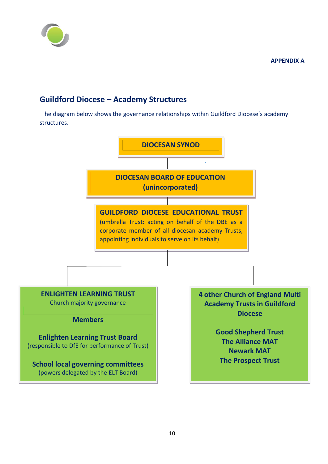

**APPENDIX A** 

# **Guildford Diocese – Academy Structures**

The diagram below shows the governance relationships within Guildford Diocese's academy structures.

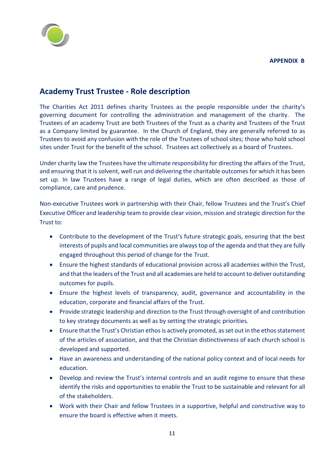

## **Academy Trust Trustee - Role description**

The Charities Act 2011 defines charity Trustees as the people responsible under the charity's governing document for controlling the administration and management of the charity. The Trustees of an academy Trust are both Trustees of the Trust as a charity and Trustees of the Trust as a Company limited by guarantee. In the Church of England, they are generally referred to as Trustees to avoid any confusion with the role of the Trustees of school sites; those who hold school sites under Trust for the benefit of the school. Trustees act collectively as a board of Trustees.

Under charity law the Trustees have the ultimate responsibility for directing the affairs of the Trust, and ensuring that it is solvent, well run and delivering the charitable outcomes for which it has been set up. In law Trustees have a range of legal duties, which are often described as those of compliance, care and prudence.

Non-executive Trustees work in partnership with their Chair, fellow Trustees and the Trust's Chief Executive Officer and leadership team to provide clear vision, mission and strategic direction for the Trust to:

- Contribute to the development of the Trust's future strategic goals, ensuring that the best interests of pupils and local communities are always top of the agenda and that they are fully engaged throughout this period of change for the Trust.
- Ensure the highest standards of educational provision across all academies within the Trust, and that the leaders of the Trust and all academies are held to account to deliver outstanding outcomes for pupils.
- Ensure the highest levels of transparency, audit, governance and accountability in the education, corporate and financial affairs of the Trust.
- Provide strategic leadership and direction to the Trust through oversight of and contribution to key strategy documents as well as by setting the strategic priorities.
- Ensure that the Trust's Christian ethos is actively promoted, as set out in the ethos statement of the articles of association, and that the Christian distinctiveness of each church school is developed and supported.
- Have an awareness and understanding of the national policy context and of local needs for education.
- Develop and review the Trust's internal controls and an audit regime to ensure that these identify the risks and opportunities to enable the Trust to be sustainable and relevant for all of the stakeholders.
- Work with their Chair and fellow Trustees in a supportive, helpful and constructive way to ensure the board is effective when it meets.